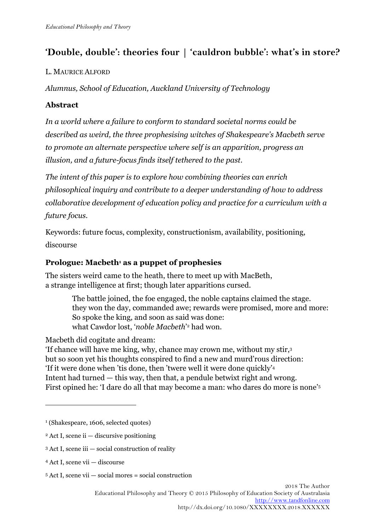# **'Double, double': theories four | 'cauldron bubble': what's in store?**

## L. MAURICE ALFORD

*Alumnus, School of Education, Auckland University of Technology* 

# **Abstract**

*In a world where a failure to conform to standard societal norms could be described as weird, the three prophesising witches of Shakespeare's Macbeth serve to promote an alternate perspective where self is an apparition, progress an illusion, and a future-focus finds itself tethered to the past.* 

*The intent of this paper is to explore how combining theories can enrich philosophical inquiry and contribute to a deeper understanding of how to address collaborative development of education policy and practice for a curriculum with a future focus.* 

Keywords: future focus, complexity, constructionism, availability, positioning, discourse

## **Prologue: Macbeth<sup>1</sup> as a puppet of prophesies**

The sisters weird came to the heath, there to meet up with MacBeth, a strange intelligence at first; though later apparitions cursed.

> The battle joined, the foe engaged, the noble captains claimed the stage. they won the day, commanded awe; rewards were promised, more and more: So spoke the king, and soon as said was done: what Cawdor lost, '*noble Macbeth*' <sup>2</sup> had won.

Macbeth did cogitate and dream:

'If chance will have me king, why, chance may crown me, without my stir,<sup>3</sup> but so soon yet his thoughts conspired to find a new and murd'rous direction: 'If it were done when 'tis done, then 'twere well it were done quickly'<sup>4</sup> Intent had turned — this way, then that, a pendule betwixt right and wrong. First opined he: 'I dare do all that may become a man: who dares do more is none'<sup>5</sup>

- 2 Act I, scene ii discursive positioning
- 3 Act I, scene iii social construction of reality
- 4 Act I, scene vii discourse

 $\overline{a}$ 

<sup>1</sup> (Shakespeare, 1606, selected quotes)

<sup>5</sup> Act I, scene vii — social mores = social construction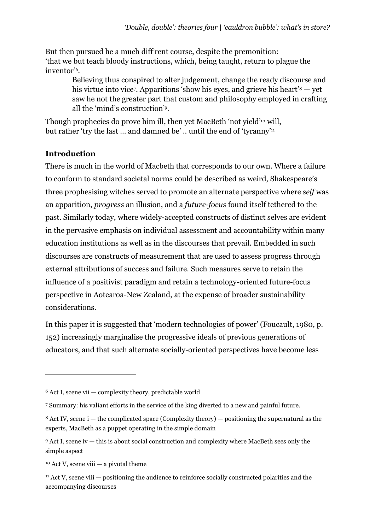But then pursued he a much diff'rent course, despite the premonition: 'that we but teach bloody instructions, which, being taught, return to plague the inventor'<sup>6</sup> .

Believing thus conspired to alter judgement, change the ready discourse and his virtue into vice<sup>7</sup> . Apparitions 'show his eyes, and grieve his heart'8 — yet saw he not the greater part that custom and philosophy employed in crafting all the 'mind's construction'<sup>9</sup> .

Though prophecies do prove him ill, then yet MacBeth 'not yield'10 will, but rather 'try the last … and damned be' .. until the end of 'tyranny'<sup>11</sup>

## **Introduction**

There is much in the world of Macbeth that corresponds to our own. Where a failure to conform to standard societal norms could be described as weird, Shakespeare's three prophesising witches served to promote an alternate perspective where *self* was an apparition, *progress* an illusion, and a *future-focus* found itself tethered to the past. Similarly today, where widely-accepted constructs of distinct selves are evident in the pervasive emphasis on individual assessment and accountability within many education institutions as well as in the discourses that prevail. Embedded in such discourses are constructs of measurement that are used to assess progress through external attributions of success and failure. Such measures serve to retain the influence of a positivist paradigm and retain a technology-oriented future-focus perspective in Aotearoa-New Zealand, at the expense of broader sustainability considerations.

In this paper it is suggested that 'modern technologies of power' (Foucault, 1980, p. 152) increasingly marginalise the progressive ideals of previous generations of educators, and that such alternate socially-oriented perspectives have become less

I

<sup>6</sup> Act I, scene vii — complexity theory, predictable world

<sup>7</sup> Summary: his valiant efforts in the service of the king diverted to a new and painful future.

 $8$  Act IV, scene i — the complicated space (Complexity theory) — positioning the supernatural as the experts, MacBeth as a puppet operating in the simple domain

<sup>9</sup> Act I, scene iv — this is about social construction and complexity where MacBeth sees only the simple aspect

 $10$  Act V, scene viii  $-$  a pivotal theme

<sup>11</sup> Act V, scene viii — positioning the audience to reinforce socially constructed polarities and the accompanying discourses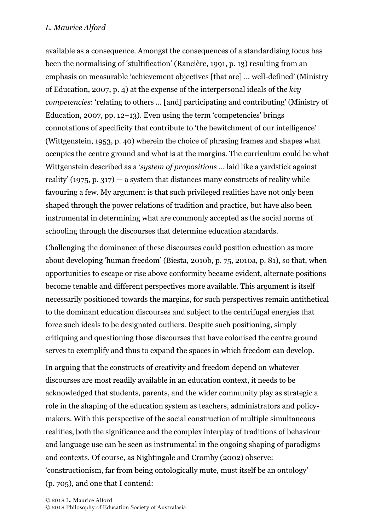available as a consequence. Amongst the consequences of a standardising focus has been the normalising of 'stultification' (Rancière, 1991, p. 13) resulting from an emphasis on measurable 'achievement objectives [that are] … well-defined' (Ministry of Education, 2007, p. 4) at the expense of the interpersonal ideals of the *key competencies*: 'relating to others … [and] participating and contributing' (Ministry of Education, 2007, pp.  $12-13$ ). Even using the term 'competencies' brings connotations of specificity that contribute to 'the bewitchment of our intelligence' (Wittgenstein, 1953, p. 40) wherein the choice of phrasing frames and shapes what occupies the centre ground and what is at the margins. The curriculum could be what Wittgenstein described as a '*system of propositions* … laid like a yardstick against reality' (1975, p. 317) — a system that distances many constructs of reality while favouring a few. My argument is that such privileged realities have not only been shaped through the power relations of tradition and practice, but have also been instrumental in determining what are commonly accepted as the social norms of schooling through the discourses that determine education standards.

Challenging the dominance of these discourses could position education as more about developing 'human freedom' (Biesta, 2010b, p. 75, 2010a, p. 81), so that, when opportunities to escape or rise above conformity became evident, alternate positions become tenable and different perspectives more available. This argument is itself necessarily positioned towards the margins, for such perspectives remain antithetical to the dominant education discourses and subject to the centrifugal energies that force such ideals to be designated outliers. Despite such positioning, simply critiquing and questioning those discourses that have colonised the centre ground serves to exemplify and thus to expand the spaces in which freedom can develop.

In arguing that the constructs of creativity and freedom depend on whatever discourses are most readily available in an education context, it needs to be acknowledged that students, parents, and the wider community play as strategic a role in the shaping of the education system as teachers, administrators and policymakers. With this perspective of the social construction of multiple simultaneous realities, both the significance and the complex interplay of traditions of behaviour and language use can be seen as instrumental in the ongoing shaping of paradigms and contexts. Of course, as Nightingale and Cromby (2002) observe: 'constructionism, far from being ontologically mute, must itself be an ontology' (p. 705), and one that I contend: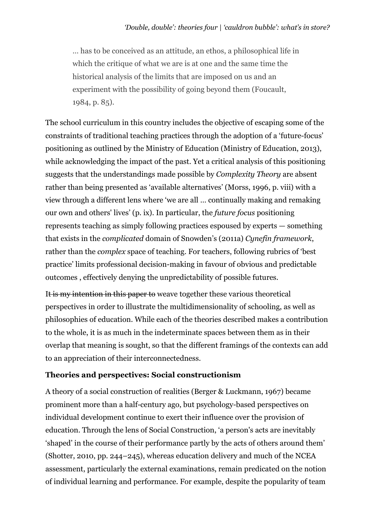… has to be conceived as an attitude, an ethos, a philosophical life in which the critique of what we are is at one and the same time the historical analysis of the limits that are imposed on us and an experiment with the possibility of going beyond them (Foucault, 1984, p. 85).

The school curriculum in this country includes the objective of escaping some of the constraints of traditional teaching practices through the adoption of a 'future-focus' positioning as outlined by the Ministry of Education (Ministry of Education, 2013), while acknowledging the impact of the past. Yet a critical analysis of this positioning suggests that the understandings made possible by *Complexity Theory* are absent rather than being presented as 'available alternatives' (Morss, 1996, p. viii) with a view through a different lens where 'we are all … continually making and remaking our own and others' lives' (p. ix). In particular, the *future focus* positioning represents teaching as simply following practices espoused by experts — something that exists in the *complicated* domain of Snowden's (2011a) *Cynefin framework*, rather than the *complex* space of teaching. For teachers, following rubrics of 'best practice' limits professional decision-making in favour of obvious and predictable outcomes , effectively denying the unpredictability of possible futures.

It is my intention in this paper to weave together these various theoretical perspectives in order to illustrate the multidimensionality of schooling, as well as philosophies of education. While each of the theories described makes a contribution to the whole, it is as much in the indeterminate spaces between them as in their overlap that meaning is sought, so that the different framings of the contexts can add to an appreciation of their interconnectedness.

### **Theories and perspectives: Social constructionism**

A theory of a social construction of realities (Berger & Luckmann, 1967) became prominent more than a half-century ago, but psychology-based perspectives on individual development continue to exert their influence over the provision of education. Through the lens of Social Construction, 'a person's acts are inevitably 'shaped' in the course of their performance partly by the acts of others around them' (Shotter, 2010, pp. 244–245), whereas education delivery and much of the NCEA assessment, particularly the external examinations, remain predicated on the notion of individual learning and performance. For example, despite the popularity of team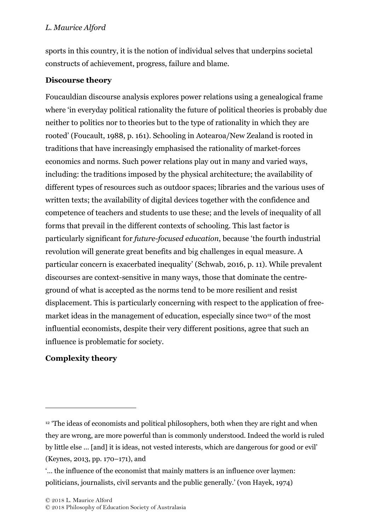sports in this country, it is the notion of individual selves that underpins societal constructs of achievement, progress, failure and blame.

## **Discourse theory**

Foucauldian discourse analysis explores power relations using a genealogical frame where 'in everyday political rationality the future of political theories is probably due neither to politics nor to theories but to the type of rationality in which they are rooted' (Foucault, 1988, p. 161). Schooling in Aotearoa/New Zealand is rooted in traditions that have increasingly emphasised the rationality of market-forces economics and norms. Such power relations play out in many and varied ways, including: the traditions imposed by the physical architecture; the availability of different types of resources such as outdoor spaces; libraries and the various uses of written texts; the availability of digital devices together with the confidence and competence of teachers and students to use these; and the levels of inequality of all forms that prevail in the different contexts of schooling. This last factor is particularly significant for *future-focused education*, because 'the fourth industrial revolution will generate great benefits and big challenges in equal measure. A particular concern is exacerbated inequality' (Schwab, 2016, p. 11). While prevalent discourses are context-sensitive in many ways, those that dominate the centreground of what is accepted as the norms tend to be more resilient and resist displacement. This is particularly concerning with respect to the application of freemarket ideas in the management of education, especially since two<sup>12</sup> of the most influential economists, despite their very different positions, agree that such an influence is problematic for society.

# **Complexity theory**

 $\overline{a}$ 

<sup>&</sup>lt;sup>12</sup> The ideas of economists and political philosophers, both when they are right and when they are wrong, are more powerful than is commonly understood. Indeed the world is ruled by little else ... [and] it is ideas, not vested interests, which are dangerous for good or evil' (Keynes, 2013, pp. 170–171), and

<sup>&#</sup>x27;… the influence of the economist that mainly matters is an influence over laymen: politicians, journalists, civil servants and the public generally.' (von Hayek, 1974)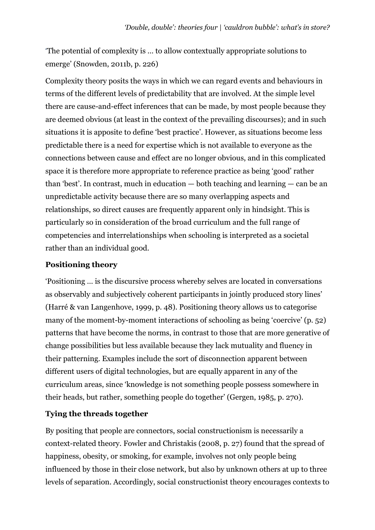'The potential of complexity is … to allow contextually appropriate solutions to emerge' (Snowden, 2011b, p. 226)

Complexity theory posits the ways in which we can regard events and behaviours in terms of the different levels of predictability that are involved. At the simple level there are cause-and-effect inferences that can be made, by most people because they are deemed obvious (at least in the context of the prevailing discourses); and in such situations it is apposite to define 'best practice'. However, as situations become less predictable there is a need for expertise which is not available to everyone as the connections between cause and effect are no longer obvious, and in this complicated space it is therefore more appropriate to reference practice as being 'good' rather than 'best'. In contrast, much in education — both teaching and learning — can be an unpredictable activity because there are so many overlapping aspects and relationships, so direct causes are frequently apparent only in hindsight. This is particularly so in consideration of the broad curriculum and the full range of competencies and interrelationships when schooling is interpreted as a societal rather than an individual good.

## **Positioning theory**

'Positioning … is the discursive process whereby selves are located in conversations as observably and subjectively coherent participants in jointly produced story lines' (Harré & van Langenhove, 1999, p. 48). Positioning theory allows us to categorise many of the moment-by-moment interactions of schooling as being 'coercive' (p. 52) patterns that have become the norms, in contrast to those that are more generative of change possibilities but less available because they lack mutuality and fluency in their patterning. Examples include the sort of disconnection apparent between different users of digital technologies, but are equally apparent in any of the curriculum areas, since 'knowledge is not something people possess somewhere in their heads, but rather, something people do together' (Gergen, 1985, p. 270).

## **Tying the threads together**

By positing that people are connectors, social constructionism is necessarily a context-related theory. Fowler and Christakis (2008, p. 27) found that the spread of happiness, obesity, or smoking, for example, involves not only people being influenced by those in their close network, but also by unknown others at up to three levels of separation. Accordingly, social constructionist theory encourages contexts to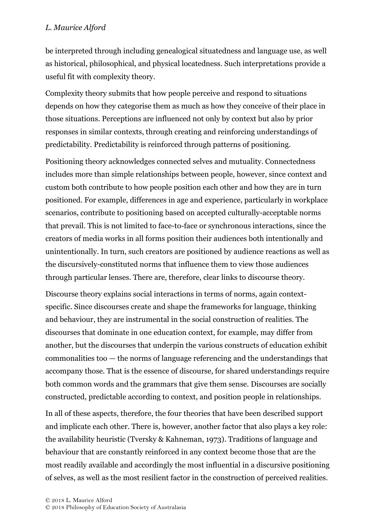be interpreted through including genealogical situatedness and language use, as well as historical, philosophical, and physical locatedness. Such interpretations provide a useful fit with complexity theory.

Complexity theory submits that how people perceive and respond to situations depends on how they categorise them as much as how they conceive of their place in those situations. Perceptions are influenced not only by context but also by prior responses in similar contexts, through creating and reinforcing understandings of predictability. Predictability is reinforced through patterns of positioning.

Positioning theory acknowledges connected selves and mutuality. Connectedness includes more than simple relationships between people, however, since context and custom both contribute to how people position each other and how they are in turn positioned. For example, differences in age and experience, particularly in workplace scenarios, contribute to positioning based on accepted culturally-acceptable norms that prevail. This is not limited to face-to-face or synchronous interactions, since the creators of media works in all forms position their audiences both intentionally and unintentionally. In turn, such creators are positioned by audience reactions as well as the discursively-constituted norms that influence them to view those audiences through particular lenses. There are, therefore, clear links to discourse theory.

Discourse theory explains social interactions in terms of norms, again contextspecific. Since discourses create and shape the frameworks for language, thinking and behaviour, they are instrumental in the social construction of realities. The discourses that dominate in one education context, for example, may differ from another, but the discourses that underpin the various constructs of education exhibit commonalities too — the norms of language referencing and the understandings that accompany those. That is the essence of discourse, for shared understandings require both common words and the grammars that give them sense. Discourses are socially constructed, predictable according to context, and position people in relationships.

In all of these aspects, therefore, the four theories that have been described support and implicate each other. There is, however, another factor that also plays a key role: the availability heuristic (Tversky & Kahneman, 1973). Traditions of language and behaviour that are constantly reinforced in any context become those that are the most readily available and accordingly the most influential in a discursive positioning of selves, as well as the most resilient factor in the construction of perceived realities.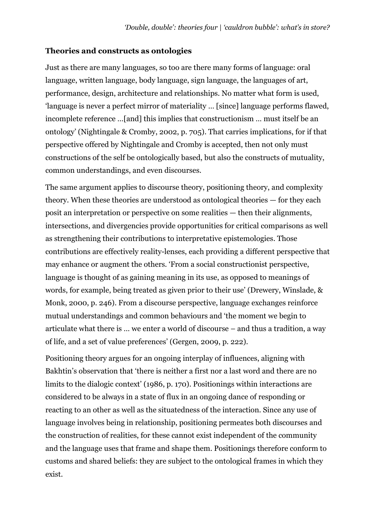#### **Theories and constructs as ontologies**

Just as there are many languages, so too are there many forms of language: oral language, written language, body language, sign language, the languages of art, performance, design, architecture and relationships. No matter what form is used, 'language is never a perfect mirror of materiality … [since] language performs flawed, incomplete reference …[and] this implies that constructionism … must itself be an ontology' (Nightingale & Cromby, 2002, p. 705). That carries implications, for if that perspective offered by Nightingale and Cromby is accepted, then not only must constructions of the self be ontologically based, but also the constructs of mutuality, common understandings, and even discourses.

The same argument applies to discourse theory, positioning theory, and complexity theory. When these theories are understood as ontological theories — for they each posit an interpretation or perspective on some realities — then their alignments, intersections, and divergencies provide opportunities for critical comparisons as well as strengthening their contributions to interpretative epistemologies. Those contributions are effectively reality-lenses, each providing a different perspective that may enhance or augment the others. 'From a social constructionist perspective, language is thought of as gaining meaning in its use, as opposed to meanings of words, for example, being treated as given prior to their use' (Drewery, Winslade, & Monk, 2000, p. 246). From a discourse perspective, language exchanges reinforce mutual understandings and common behaviours and 'the moment we begin to articulate what there is … we enter a world of discourse – and thus a tradition, a way of life, and a set of value preferences' (Gergen, 2009, p. 222).

Positioning theory argues for an ongoing interplay of influences, aligning with Bakhtin's observation that 'there is neither a first nor a last word and there are no limits to the dialogic context' (1986, p. 170). Positionings within interactions are considered to be always in a state of flux in an ongoing dance of responding or reacting to an other as well as the situatedness of the interaction. Since any use of language involves being in relationship, positioning permeates both discourses and the construction of realities, for these cannot exist independent of the community and the language uses that frame and shape them. Positionings therefore conform to customs and shared beliefs: they are subject to the ontological frames in which they exist.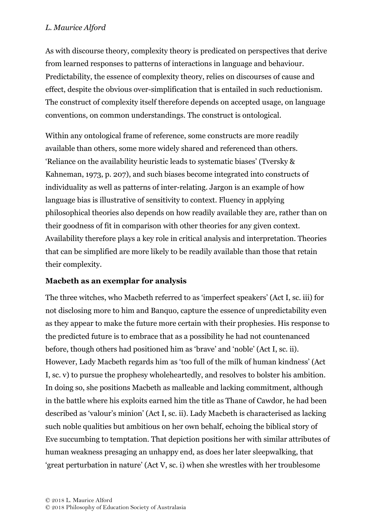As with discourse theory, complexity theory is predicated on perspectives that derive from learned responses to patterns of interactions in language and behaviour. Predictability, the essence of complexity theory, relies on discourses of cause and effect, despite the obvious over-simplification that is entailed in such reductionism. The construct of complexity itself therefore depends on accepted usage, on language conventions, on common understandings. The construct is ontological.

Within any ontological frame of reference, some constructs are more readily available than others, some more widely shared and referenced than others. 'Reliance on the availability heuristic leads to systematic biases' (Tversky & Kahneman, 1973, p. 207), and such biases become integrated into constructs of individuality as well as patterns of inter-relating. Jargon is an example of how language bias is illustrative of sensitivity to context. Fluency in applying philosophical theories also depends on how readily available they are, rather than on their goodness of fit in comparison with other theories for any given context. Availability therefore plays a key role in critical analysis and interpretation. Theories that can be simplified are more likely to be readily available than those that retain their complexity.

### **Macbeth as an exemplar for analysis**

The three witches, who Macbeth referred to as 'imperfect speakers' (Act I, sc. iii) for not disclosing more to him and Banquo, capture the essence of unpredictability even as they appear to make the future more certain with their prophesies. His response to the predicted future is to embrace that as a possibility he had not countenanced before, though others had positioned him as 'brave' and 'noble' (Act I, sc. ii). However, Lady Macbeth regards him as 'too full of the milk of human kindness' (Act I, sc. v) to pursue the prophesy wholeheartedly, and resolves to bolster his ambition. In doing so, she positions Macbeth as malleable and lacking commitment, although in the battle where his exploits earned him the title as Thane of Cawdor, he had been described as 'valour's minion' (Act I, sc. ii). Lady Macbeth is characterised as lacking such noble qualities but ambitious on her own behalf, echoing the biblical story of Eve succumbing to temptation. That depiction positions her with similar attributes of human weakness presaging an unhappy end, as does her later sleepwalking, that 'great perturbation in nature' (Act V, sc. i) when she wrestles with her troublesome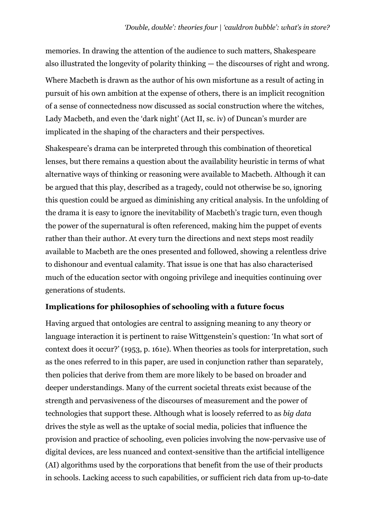memories. In drawing the attention of the audience to such matters, Shakespeare also illustrated the longevity of polarity thinking — the discourses of right and wrong. Where Macbeth is drawn as the author of his own misfortune as a result of acting in pursuit of his own ambition at the expense of others, there is an implicit recognition of a sense of connectedness now discussed as social construction where the witches, Lady Macbeth, and even the 'dark night' (Act II, sc. iv) of Duncan's murder are implicated in the shaping of the characters and their perspectives.

Shakespeare's drama can be interpreted through this combination of theoretical lenses, but there remains a question about the availability heuristic in terms of what alternative ways of thinking or reasoning were available to Macbeth. Although it can be argued that this play, described as a tragedy, could not otherwise be so, ignoring this question could be argued as diminishing any critical analysis. In the unfolding of the drama it is easy to ignore the inevitability of Macbeth's tragic turn, even though the power of the supernatural is often referenced, making him the puppet of events rather than their author. At every turn the directions and next steps most readily available to Macbeth are the ones presented and followed, showing a relentless drive to dishonour and eventual calamity. That issue is one that has also characterised much of the education sector with ongoing privilege and inequities continuing over generations of students.

### **Implications for philosophies of schooling with a future focus**

Having argued that ontologies are central to assigning meaning to any theory or language interaction it is pertinent to raise Wittgenstein's question: 'In what sort of context does it occur?' (1953, p. 161e). When theories as tools for interpretation, such as the ones referred to in this paper, are used in conjunction rather than separately, then policies that derive from them are more likely to be based on broader and deeper understandings. Many of the current societal threats exist because of the strength and pervasiveness of the discourses of measurement and the power of technologies that support these. Although what is loosely referred to as *big data* drives the style as well as the uptake of social media, policies that influence the provision and practice of schooling, even policies involving the now-pervasive use of digital devices, are less nuanced and context-sensitive than the artificial intelligence (AI) algorithms used by the corporations that benefit from the use of their products in schools. Lacking access to such capabilities, or sufficient rich data from up-to-date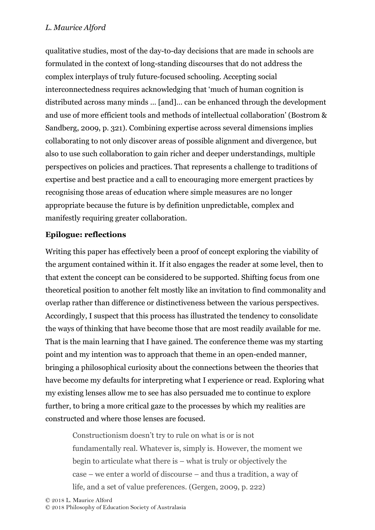qualitative studies, most of the day-to-day decisions that are made in schools are formulated in the context of long-standing discourses that do not address the complex interplays of truly future-focused schooling. Accepting social interconnectedness requires acknowledging that 'much of human cognition is distributed across many minds … [and]… can be enhanced through the development and use of more efficient tools and methods of intellectual collaboration' (Bostrom & Sandberg, 2009, p. 321). Combining expertise across several dimensions implies collaborating to not only discover areas of possible alignment and divergence, but also to use such collaboration to gain richer and deeper understandings, multiple perspectives on policies and practices. That represents a challenge to traditions of expertise and best practice and a call to encouraging more emergent practices by recognising those areas of education where simple measures are no longer appropriate because the future is by definition unpredictable, complex and manifestly requiring greater collaboration.

## **Epilogue: reflections**

Writing this paper has effectively been a proof of concept exploring the viability of the argument contained within it. If it also engages the reader at some level, then to that extent the concept can be considered to be supported. Shifting focus from one theoretical position to another felt mostly like an invitation to find commonality and overlap rather than difference or distinctiveness between the various perspectives. Accordingly, I suspect that this process has illustrated the tendency to consolidate the ways of thinking that have become those that are most readily available for me. That is the main learning that I have gained. The conference theme was my starting point and my intention was to approach that theme in an open-ended manner, bringing a philosophical curiosity about the connections between the theories that have become my defaults for interpreting what I experience or read. Exploring what my existing lenses allow me to see has also persuaded me to continue to explore further, to bring a more critical gaze to the processes by which my realities are constructed and where those lenses are focused.

Constructionism doesn't try to rule on what is or is not fundamentally real. Whatever is, simply is. However, the moment we begin to articulate what there is – what is truly or objectively the case – we enter a world of discourse – and thus a tradition, a way of life, and a set of value preferences. (Gergen, 2009, p. 222)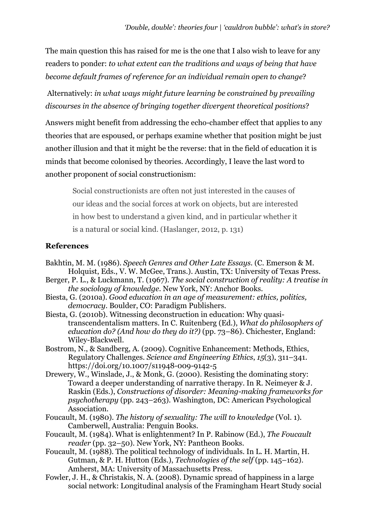The main question this has raised for me is the one that I also wish to leave for any readers to ponder: *to what extent can the traditions and ways of being that have become default frames of reference for an individual remain open to change*?

 Alternatively: *in what ways might future learning be constrained by prevailing discourses in the absence of bringing together divergent theoretical positions*?

Answers might benefit from addressing the echo-chamber effect that applies to any theories that are espoused, or perhaps examine whether that position might be just another illusion and that it might be the reverse: that in the field of education it is minds that become colonised by theories. Accordingly, I leave the last word to another proponent of social constructionism:

Social constructionists are often not just interested in the causes of our ideas and the social forces at work on objects, but are interested in how best to understand a given kind, and in particular whether it is a natural or social kind. (Haslanger, 2012, p. 131)

### **References**

- Bakhtin, M. M. (1986). *Speech Genres and Other Late Essays*. (C. Emerson & M. Holquist, Eds., V. W. McGee, Trans.). Austin, TX: University of Texas Press.
- Berger, P. L., & Luckmann, T. (1967). *The social construction of reality: A treatise in the sociology of knowledge*. New York, NY: Anchor Books.
- Biesta, G. (2010a). *Good education in an age of measurement: ethics, politics, democracy*. Boulder, CO: Paradigm Publishers.
- Biesta, G. (2010b). Witnessing deconstruction in education: Why quasitranscendentalism matters. In C. Ruitenberg (Ed.), *What do philosophers of education do? (And how do they do it?)* (pp. 73–86). Chichester, England: Wiley-Blackwell.
- Bostrom, N., & Sandberg, A. (2009). Cognitive Enhancement: Methods, Ethics, Regulatory Challenges. *Science and Engineering Ethics*, *15*(3), 311–341. https://doi.org/10.1007/s11948-009-9142-5
- Drewery, W., Winslade, J., & Monk, G. (2000). Resisting the dominating story: Toward a deeper understanding of narrative therapy. In R. Neimeyer & J. Raskin (Eds.), *Constructions of disorder: Meaning-making frameworks for psychotherapy* (pp. 243–263). Washington, DC: American Psychological Association.
- Foucault, M. (1980). *The history of sexuality: The will to knowledge* (Vol. 1). Camberwell, Australia: Penguin Books.
- Foucault, M. (1984). What is enlightenment? In P. Rabinow (Ed.), *The Foucault reader* (pp. 32–50). New York, NY: Pantheon Books.
- Foucault, M. (1988). The political technology of individuals. In L. H. Martin, H. Gutman, & P. H. Hutton (Eds.), *Technologies of the self* (pp. 145–162). Amherst, MA: University of Massachusetts Press.
- Fowler, J. H., & Christakis, N. A. (2008). Dynamic spread of happiness in a large social network: Longitudinal analysis of the Framingham Heart Study social